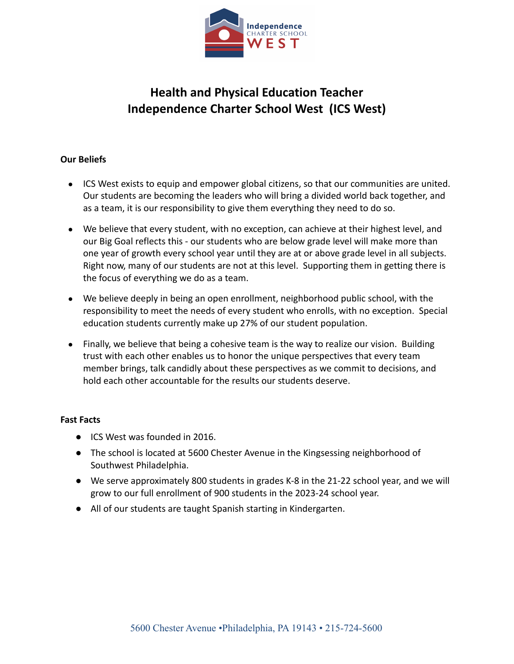

# **Health and Physical Education Teacher Independence Charter School West (ICS West)**

## **Our Beliefs**

- ICS West exists to equip and empower global citizens, so that our communities are united. Our students are becoming the leaders who will bring a divided world back together, and as a team, it is our responsibility to give them everything they need to do so.
- We believe that every student, with no exception, can achieve at their highest level, and our Big Goal reflects this - our students who are below grade level will make more than one year of growth every school year until they are at or above grade level in all subjects. Right now, many of our students are not at this level. Supporting them in getting there is the focus of everything we do as a team.
- We believe deeply in being an open enrollment, neighborhood public school, with the responsibility to meet the needs of every student who enrolls, with no exception. Special education students currently make up 27% of our student population.
- Finally, we believe that being a cohesive team is the way to realize our vision. Building trust with each other enables us to honor the unique perspectives that every team member brings, talk candidly about these perspectives as we commit to decisions, and hold each other accountable for the results our students deserve.

#### **Fast Facts**

- ICS West was founded in 2016.
- The school is located at 5600 Chester Avenue in the Kingsessing neighborhood of Southwest Philadelphia.
- We serve approximately 800 students in grades K-8 in the 21-22 school year, and we will grow to our full enrollment of 900 students in the 2023-24 school year.
- All of our students are taught Spanish starting in Kindergarten.